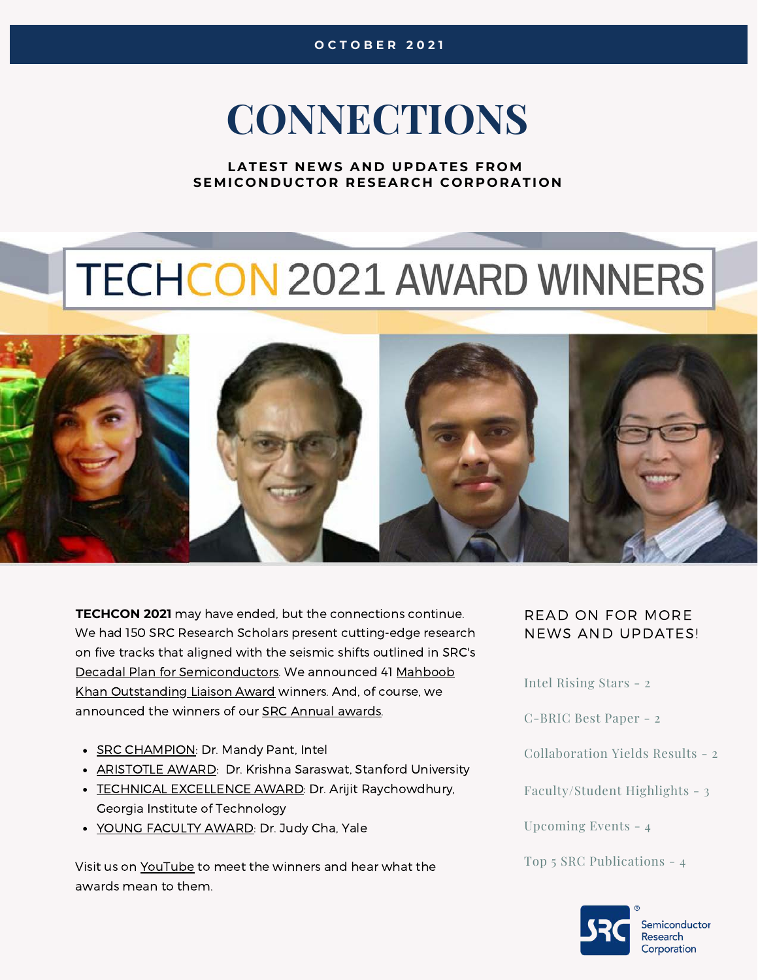## **CONNECTIONS**

LATEST NEWS AND UPDATES FROM **SEMICONDUCTOR RESEARCH CORPORATION** 

# **TECHCON 2021 AWARD WINNERS**



**TECHCON 2021** may have ended, but the connections continue. We had 150 SRC Research Scholars present cutting-edge research on five tracks that aligned with the seismic shifts outlined in SRC's Decadal Plan for [Semiconductor](https://www.src.org/about/decadal-plan/)[s. We](https://www.src.org/award/khan-liaison/) announced 41 Mahboob Khan Outstanding Liaison Award winners. And, of course, we announced the winners of our SRC Annual [awards](https://www.src.org/award/).

- SRC [CHAMPION](https://www.src.org/award/src-champion/): Dr. Mandy Pant, Intel
- **[ARISTOTLE](https://www.src.org/award/aristotle/) AWARD: Dr. Krishna Saraswat, Stanford University**
- TECHNICAL [EXCELLENCE](https://www.src.org/award/tech-excellence/) AWARD: Dr. Arijit Raychowdhury, Georgia Institute of Technology
- YOUNG FACULTY [AWARD](https://www.src.org/award/young-faculty/): Dr. Judy Cha, Yale

Visit us on [YouTube](https://www.youtube.com/channel/UC88cdz6-xp7uyYrWFYZbRuw) [t](https://www.youtube.com/channel/UC88cdz6-xp7uyYrWFYZbRuw)o meet the winners and hear what the awards mean to them.

#### READ ON FOR MORE NEWS AND UPDATES!

Intel Rising Stars - 2

C-BRIC Best Paper - 2

Collaboration Yields Results - 2

Faculty/Student Highlights - 3

Upcoming Events - 4

Top 5 SRC Publications - 4



*Semiconductor* **Research** Corporation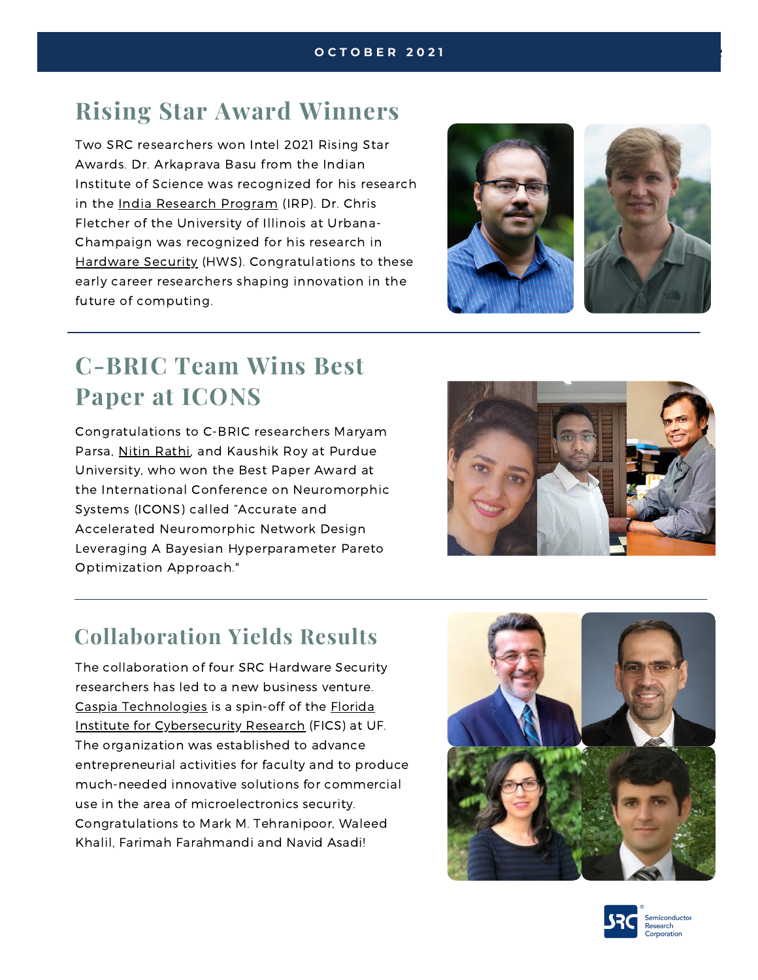## **[Rising Star Award](https://awards.acm.org/award_winners/martonosi_4125274) Winners**

Two SRC researchers won Intel 2021 Rising Star Awards. Dr. Arkaprava Basu from the Indian Institute of Science was recognized for his research in the India Research [Program \(IRP\).](https://www.src.org/library/research-catalog/2925.001/) Dr. Chris Fletcher of the University of Illinois at Urbana-Champaign was recognized for his research in Hardware [Security \(HWS\)](https://www.src.org/library/research-catalog/2995.001/). Congratulations to these early career researchers shaping innovation in the future of computing.



## **[C-BRIC Team Wins Best](https://awards.acm.org/award_winners/martonosi_4125274) Paper at ICONS**

Congratulations to C-BRIC researchers Maryam Parsa, [N](https://www.stochastic.ai/#about)itin [Rathi](https://www.src.org/student-center/student-directory/14313/), and Kaushik Roy at Purdue University, who won the Best Paper Award at the International Conference on Neuromorphic Systems (ICONS) called "Accurate and Accelerated Neuromorphic Network Design Leveraging A Bayesian Hyperparameter Pareto Optimization Approach."



## **[Collaboration Yields Results](https://awards.acm.org/award_winners/martonosi_4125274)**

The collaboration of four SRC Hardware Security researchers has led to a new business venture. Caspia [Technologies](https://caspiatechnologies.com/) is a spin-off of the Florida Institute for Cybersecurity [Research \(FICS\) at](https://fics.institute.ufl.edu/) UF. The organization was established to advance entrepreneurial activities for faculty and to produce much-needed innovative solutions for commercial use in the area of microelectronics security. Congratulations to Mark M. Tehranipoor, Waleed Khalil, Farimah Farahmandi and Navid Asadi!



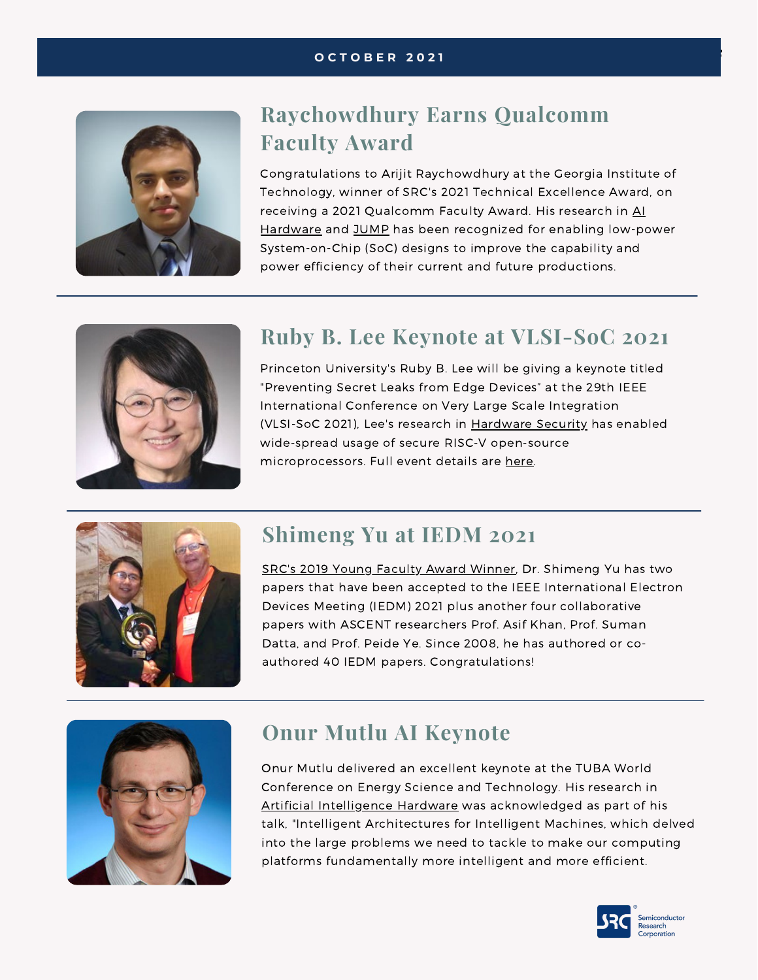#### *Awards and Recognition* **O C T O B E R** *<sup>3</sup>* **2 0 2 1**



### **[Raychowdhury](https://www.stochastic.ai/#about) Earns Qualcomm Faculty Award**

Congratulations to Arijit Raychowdhury at the Georgia Institute of Technology, winner of SRC's 2021 Technical Excellence Award, on receiving a 2021 Qualcomm Faculty [Award. His](https://www.src.org/library/research-catalog/2969.001/) research in Al Hardware and [JUMP](https://www.src.org/library/research-catalog/2776.033/) has been recognized for enabling low-power System-on-Chip (SoC) designs to improve the capability and power efficiency of their current and future productions.



### **[Ruby B. Lee Keynote at VLSI-SoC 2021](https://awards.acm.org/award_winners/martonosi_4125274)**

Princeton University's Ruby B. Lee will be giving a keynote titled "Preventing Secret Leaks from Edge Devices" at the 29th IEEE International Conference on Very Large Scale Integration (VLSI-SoC 2021), Lee's research in [Hardware](https://www.src.org/library/research-catalog/2844.002/) Securit[y](https://www.linkedin.com/feed/hashtag/?keywords=success&highlightedUpdateUrns=urn%3Ali%3Aactivity%3A6846453240628871169) has enabled wide-spread usage of secure RISC-V open-source [microprocessors.](https://www.linkedin.com/feed/hashtag/?keywords=success&highlightedUpdateUrns=urn%3Ali%3Aactivity%3A6846453240628871169) Full event details are [here](https://vlsisoc.github.io/)[.](https://www.linkedin.com/feed/hashtag/?keywords=success&highlightedUpdateUrns=urn%3Ali%3Aactivity%3A6846453240628871169)



#### **Shimeng Yu at IEDM 2021**

SRC's 2019 Young Faculty Award [Winner,](https://www.src.org/award/young-faculty/2019/) Dr. Shimeng Yu has two papers that have been accepted to the IEEE International Electron Devices Meeting (IEDM) 2021 plus another four collaborative papers with ASCENT researchers Prof. Asif Khan, Prof. Suman Datta, and Prof. Peide Ye. Since 2008, he has authored or coauthored 40 IEDM papers. Congratulations!



### **Onur Mutlu AI Keynote**

Onur Mutlu delivered an excellent keynote at the TUBA World Conference on Energy Science and Technology. His research in Artificial [Intelligence](https://www.src.org/library/research-catalog/2946.001/) Hardware was acknowledged as part of his talk, "Intelligent Architectures for Intelligent Machines, which delved into the large problems we need to tackle to make our computing platforms fundamentally more intelligent and more efficient.